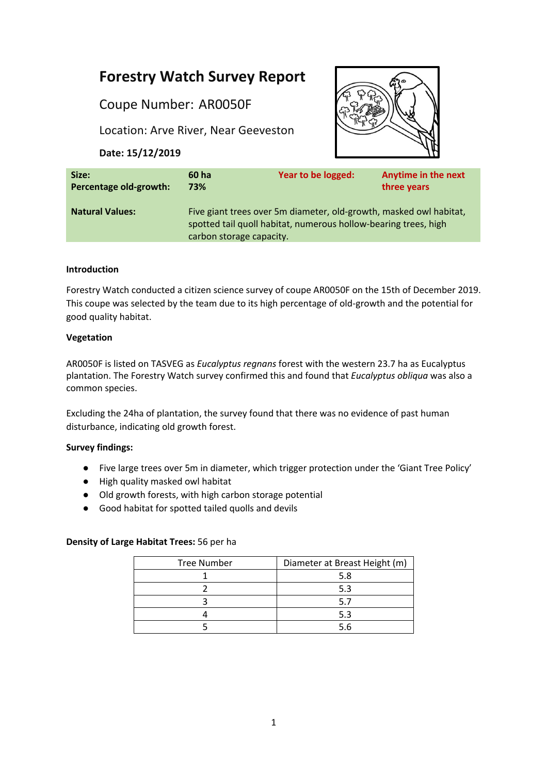# **Forestry Watch Survey Report**

Coupe Number: AR0050F

Location: Arve River, Near Geeveston

**Date: 15/12/2019**



| Size:                  | 60 ha                                                                                                                                                             | Year to be logged: | <b>Anytime in the next</b> |
|------------------------|-------------------------------------------------------------------------------------------------------------------------------------------------------------------|--------------------|----------------------------|
| Percentage old-growth: | 73%                                                                                                                                                               |                    | three years                |
| <b>Natural Values:</b> | Five giant trees over 5m diameter, old-growth, masked owl habitat,<br>spotted tail quoll habitat, numerous hollow-bearing trees, high<br>carbon storage capacity. |                    |                            |

### **Introduction**

Forestry Watch conducted a citizen science survey of coupe AR0050F on the 15th of December 2019. This coupe was selected by the team due to its high percentage of old-growth and the potential for good quality habitat.

## **Vegetation**

AR0050F is listed on TASVEG as *Eucalyptus regnans* forest with the western 23.7 ha as Eucalyptus plantation. The Forestry Watch survey confirmed this and found that *Eucalyptus obliqua* was also a common species.

Excluding the 24ha of plantation, the survey found that there was no evidence of past human disturbance, indicating old growth forest.

# **Survey findings:**

- Five large trees over 5m in diameter, which trigger protection under the 'Giant Tree Policy'
- High quality masked owl habitat
- Old growth forests, with high carbon storage potential
- Good habitat for spotted tailed quolls and devils

### **Density of Large Habitat Trees:** 56 per ha

| <b>Tree Number</b> | Diameter at Breast Height (m) |  |
|--------------------|-------------------------------|--|
|                    | 5.8                           |  |
|                    | 5.3                           |  |
|                    |                               |  |
|                    | 5.3                           |  |
|                    | 56                            |  |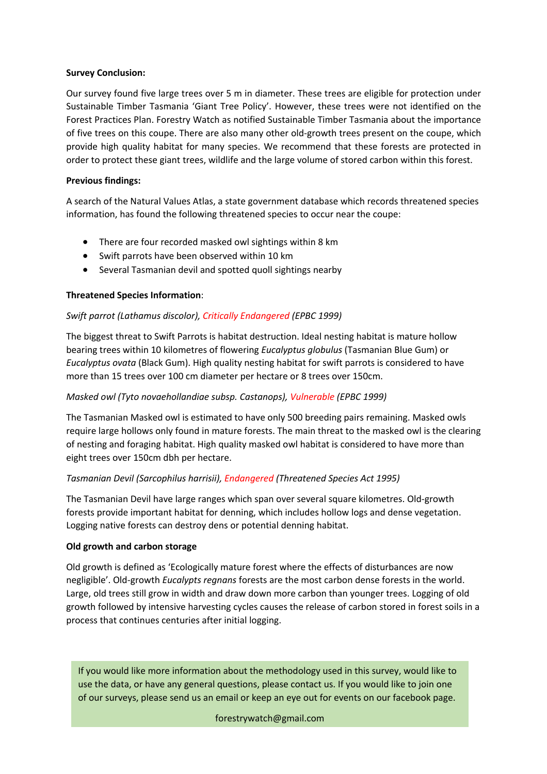#### **Survey Conclusion:**

Our survey found five large trees over 5 m in diameter. These trees are eligible for protection under Sustainable Timber Tasmania 'Giant Tree Policy'. However, these trees were not identified on the Forest Practices Plan. Forestry Watch as notified Sustainable Timber Tasmania about the importance of five trees on this coupe. There are also many other old-growth trees present on the coupe, which provide high quality habitat for many species. We recommend that these forests are protected in order to protect these giant trees, wildlife and the large volume of stored carbon within this forest.

#### **Previous findings:**

A search of the Natural Values Atlas, a state government database which records threatened species information, has found the following threatened species to occur near the coupe:

- There are four recorded masked owl sightings within 8 km
- Swift parrots have been observed within 10 km
- Several Tasmanian devil and spotted quoll sightings nearby

### **Threatened Species Information**:

### *Swift parrot (Lathamus discolor), Critically Endangered (EPBC 1999)*

The biggest threat to Swift Parrots is habitat destruction. Ideal nesting habitat is mature hollow bearing trees within 10 kilometres of flowering *Eucalyptus globulus* (Tasmanian Blue Gum) or *Eucalyptus ovata* (Black Gum). High quality nesting habitat for swift parrots is considered to have more than 15 trees over 100 cm diameter per hectare or 8 trees over 150cm.

### *Masked owl (Tyto novaehollandiae subsp. Castanops), Vulnerable (EPBC 1999)*

The Tasmanian Masked owl is estimated to have only 500 breeding pairs remaining. Masked owls require large hollows only found in mature forests. The main threat to the masked owl is the clearing of nesting and foraging habitat. High quality masked owl habitat is considered to have more than eight trees over 150cm dbh per hectare.

### *Tasmanian Devil (Sarcophilus harrisii), Endangered (Threatened Species Act 1995)*

The Tasmanian Devil have large ranges which span over several square kilometres. Old-growth forests provide important habitat for denning, which includes hollow logs and dense vegetation. Logging native forests can destroy dens or potential denning habitat.

#### **Old growth and carbon storage**

Old growth is defined as 'Ecologically mature forest where the effects of disturbances are now negligible'. Old-growth *Eucalypts regnans* forests are the most carbon dense forests in the world. Large, old trees still grow in width and draw down more carbon than younger trees. Logging of old growth followed by intensive harvesting cycles causes the release of carbon stored in forest soils in a process that continues centuries after initial logging.

If you would like more information about the methodology used in this survey, would like to use the data, or have any general questions, please contact us. If you would like to join one of our surveys, please send us an email or keep an eye out for events on our facebook page.

# 2 forestrywatch@gmail.com